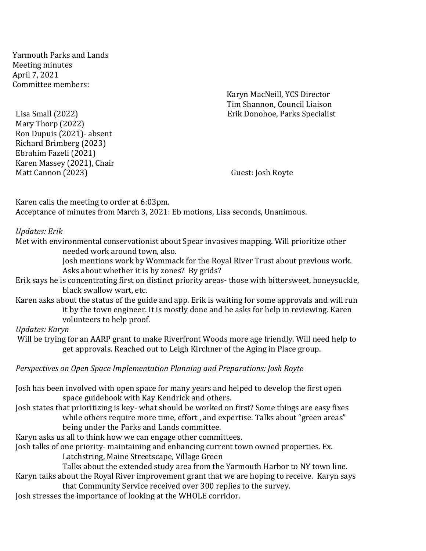Yarmouth Parks and Lands Meeting minutes April 7, 2021 Committee members:

Karyn MacNeill, YCS Director Tim Shannon, Council Liaison Lisa Small (2022) Erik Donohoe, Parks Specialist

Mary Thorp (2022) Ron Dupuis (2021)- absent Richard Brimberg (2023) Ebrahim Fazeli (2021) Karen Massey (2021), Chair Matt Cannon (2023) Guest: Josh Royte

Karen calls the meeting to order at 6:03pm. Acceptance of minutes from March 3, 2021: Eb motions, Lisa seconds, Unanimous.

## *Updates: Erik*

Met with environmental conservationist about Spear invasives mapping. Will prioritize other needed work around town, also.

> Josh mentions work by Wommack for the Royal River Trust about previous work. Asks about whether it is by zones? By grids?

Erik says he is concentrating first on distinct priority areas- those with bittersweet, honeysuckle, black swallow wart, etc.

Karen asks about the status of the guide and app. Erik is waiting for some approvals and will run it by the town engineer. It is mostly done and he asks for help in reviewing. Karen volunteers to help proof.

## *Updates: Karyn*

Will be trying for an AARP grant to make Riverfront Woods more age friendly. Will need help to get approvals. Reached out to Leigh Kirchner of the Aging in Place group.

*Perspectives on Open Space Implementation Planning and Preparations: Josh Royte*

Josh has been involved with open space for many years and helped to develop the first open space guidebook with Kay Kendrick and others.

Josh states that prioritizing is key- what should be worked on first? Some things are easy fixes while others require more time, effort, and expertise. Talks about "green areas" being under the Parks and Lands committee.

Karyn asks us all to think how we can engage other committees.

Josh talks of one priority- maintaining and enhancing current town owned properties. Ex. Latchstring, Maine Streetscape, Village Green

Talks about the extended study area from the Yarmouth Harbor to NY town line. Karyn talks about the Royal River improvement grant that we are hoping to receive. Karyn says

that Community Service received over 300 replies to the survey.

Josh stresses the importance of looking at the WHOLE corridor.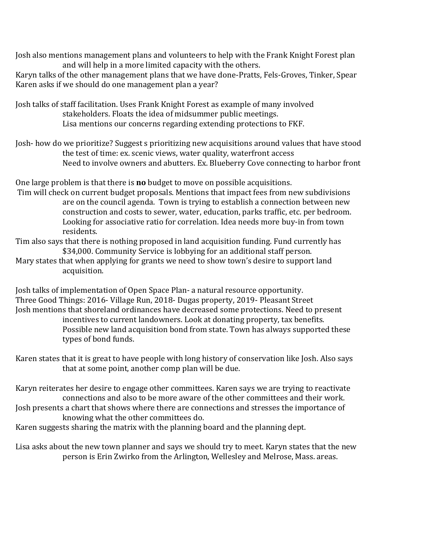Josh also mentions management plans and volunteers to help with the Frank Knight Forest plan and will help in a more limited capacity with the others.

Karyn talks of the other management plans that we have done-Pratts, Fels-Groves, Tinker, Spear Karen asks if we should do one management plan a year?

Josh talks of staff facilitation. Uses Frank Knight Forest as example of many involved stakeholders. Floats the idea of midsummer public meetings. Lisa mentions our concerns regarding extending protections to FKF.

Josh- how do we prioritize? Suggest s prioritizing new acquisitions around values that have stood the test of time: ex. scenic views, water quality, waterfront access Need to involve owners and abutters. Ex. Blueberry Cove connecting to harbor front

One large problem is that there is **no** budget to move on possible acquisitions.

Tim will check on current budget proposals. Mentions that impact fees from new subdivisions are on the council agenda. Town is trying to establish a connection between new construction and costs to sewer, water, education, parks traffic, etc. per bedroom. Looking for associative ratio for correlation. Idea needs more buy-in from town residents.

Tim also says that there is nothing proposed in land acquisition funding. Fund currently has \$34,000. Community Service is lobbying for an additional staff person.

Mary states that when applying for grants we need to show town's desire to support land acquisition.

Josh talks of implementation of Open Space Plan- a natural resource opportunity. Three Good Things: 2016- Village Run, 2018- Dugas property, 2019- Pleasant Street Josh mentions that shoreland ordinances have decreased some protections. Need to present incentives to current landowners. Look at donating property, tax benefits. Possible new land acquisition bond from state. Town has always supported these types of bond funds.

Karen states that it is great to have people with long history of conservation like Josh. Also says that at some point, another comp plan will be due.

Karyn reiterates her desire to engage other committees. Karen says we are trying to reactivate connections and also to be more aware of the other committees and their work. Josh presents a chart that shows where there are connections and stresses the importance of knowing what the other committees do.

Karen suggests sharing the matrix with the planning board and the planning dept.

Lisa asks about the new town planner and says we should try to meet. Karyn states that the new person is Erin Zwirko from the Arlington, Wellesley and Melrose, Mass. areas.